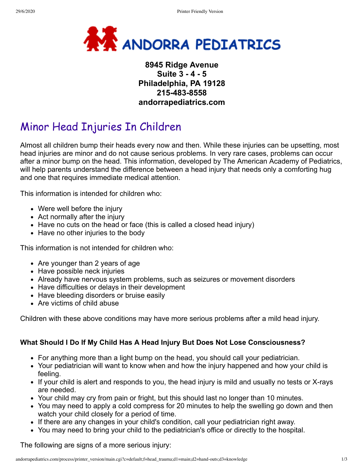

## **8945 Ridge Avenue Suite 3 - 4 - 5 Philadelphia, PA 19128 215-483-8558 andorrapediatrics.com**

# Minor Head Injuries In Children

Almost all children bump their heads every now and then. While these injuries can be upsetting, most head injuries are minor and do not cause serious problems. In very rare cases, problems can occur after a minor bump on the head. This information, developed by The American Academy of Pediatrics, will help parents understand the difference between a head injury that needs only a comforting hug and one that requires immediate medical attention.

This information is intended for children who:

- Were well before the injury
- Act normally after the injury
- Have no cuts on the head or face (this is called a closed head injury)
- Have no other injuries to the body

This information is not intended for children who:

- Are younger than 2 years of age
- Have possible neck injuries
- Already have nervous system problems, such as seizures or movement disorders
- Have difficulties or delays in their development
- Have bleeding disorders or bruise easily
- Are victims of child abuse

Children with these above conditions may have more serious problems after a mild head injury.

#### **What Should I Do If My Child Has A Head Injury But Does Not Lose Consciousness?**

- For anything more than a light bump on the head, you should call your pediatrician.
- Your pediatrician will want to know when and how the injury happened and how your child is feeling.
- If your child is alert and responds to you, the head injury is mild and usually no tests or X-rays are needed.
- Your child may cry from pain or fright, but this should last no longer than 10 minutes.
- You may need to apply a cold compress for 20 minutes to help the swelling go down and then watch your child closely for a period of time.
- If there are any changes in your child's condition, call your pediatrician right away.
- You may need to bring your child to the pediatrician's office or directly to the hospital.

The following are signs of a more serious injury: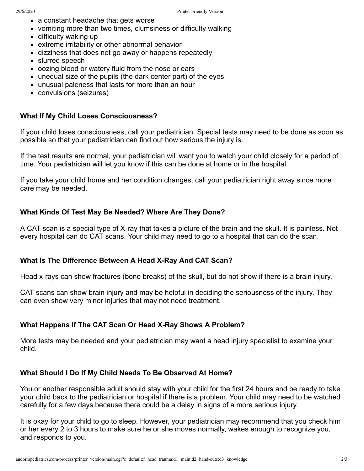- a constant headache that gets worse
- vomiting more than two times, clumsiness or difficulty walking
- difficulty waking up
- extreme irritability or other abnormal behavior
- dizziness that does not go away or happens repeatedly
- slurred speech
- oozing blood or watery fluid from the nose or ears
- unequal size of the pupils (the dark center part) of the eyes
- unusual paleness that lasts for more than an hour
- convulsions (seizures)

#### **What If My Child Loses Consciousness?**

If your child loses consciousness, call your pediatrician. Special tests may need to be done as soon as possible so that your pediatrician can find out how serious the injury is.

If the test results are normal, your pediatrician will want you to watch your child closely for a period of time. Your pediatrician will let you know if this can be done at home or in the hospital.

If you take your child home and her condition changes, call your pediatrician right away since more care may be needed.

### **What Kinds Of Test May Be Needed? Where Are They Done?**

A CAT scan is a special type of X-ray that takes a picture of the brain and the skull. It is painless. Not every hospital can do CAT scans. Your child may need to go to a hospital that can do the scan.

#### **What Is The Difference Between A Head X-Ray And CAT Scan?**

Head x-rays can show fractures (bone breaks) of the skull, but do not show if there is a brain injury.

CAT scans can show brain injury and may be helpful in deciding the seriousness of the injury. They can even show very minor injuries that may not need treatment.

#### **What Happens If The CAT Scan Or Head X-Ray Shows A Problem?**

More tests may be needed and your pediatrician may want a head injury specialist to examine your child.

#### **What Should I Do If My Child Needs To Be Observed At Home?**

You or another responsible adult should stay with your child for the first 24 hours and be ready to take your child back to the pediatrician or hospital if there is a problem. Your child may need to be watched carefully for a few days because there could be a delay in signs of a more serious injury.

It is okay for your child to go to sleep. However, your pediatrician may recommend that you check him or her every 2 to 3 hours to make sure he or she moves normally, wakes enough to recognize you, and responds to you.